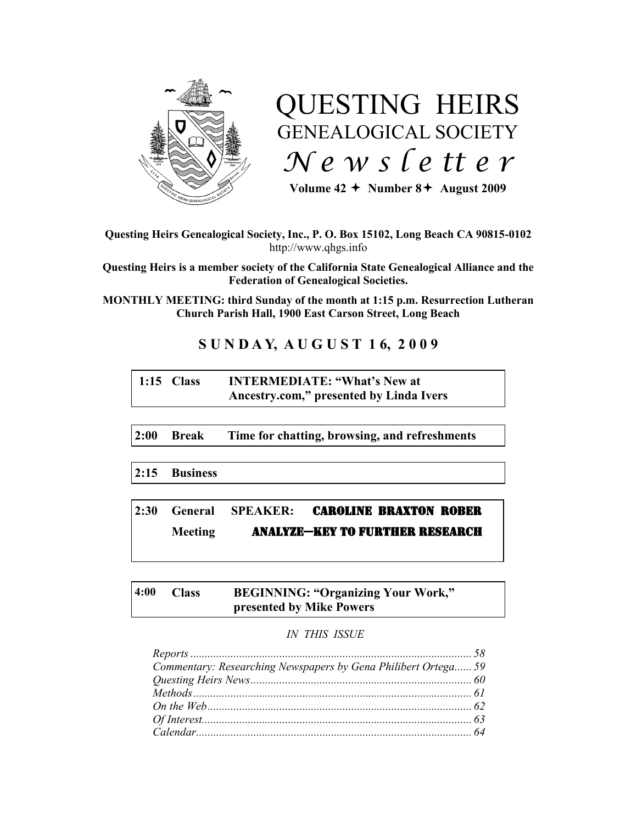

# QUESTING HEIRS GENEALOGICAL SOCIETY *N e w s l e tt e r*

Volume  $42 +$  Number  $8 +$  August 2009

#### **Questing Heirs Genealogical Society, Inc., P. O. Box 15102, Long Beach CA 90815-0102** http://www.qhgs.info

**Questing Heirs is a member society of the California State Genealogical Alliance and the Federation of Genealogical Societies.**

**MONTHLY MEETING: third Sunday of the month at 1:15 p.m. Resurrection Lutheran Church Parish Hall, 1900 East Carson Street, Long Beach** 

# **S U N D A Y, A U G U S T 1 6, 2 0 0 9**

# **1:15 Class INTERMEDIATE: "What's New at Ancestry.com," presented by Linda Ivers**

**2:00 Break Time for chatting, browsing, and refreshments**

**2:15 Business**

# **2:30 General SPEAKER:** CAROLINE BRAXTON ROBER **Meeting ANALYZE-KEY TO FURTHER RESEARCH**

### **4:00 Class BEGINNING: "Organizing Your Work," presented by Mike Powers**

#### *IN THIS ISSUE*

| Commentary: Researching Newspapers by Gena Philibert Ortega 59 |  |
|----------------------------------------------------------------|--|
|                                                                |  |
|                                                                |  |
|                                                                |  |
|                                                                |  |
|                                                                |  |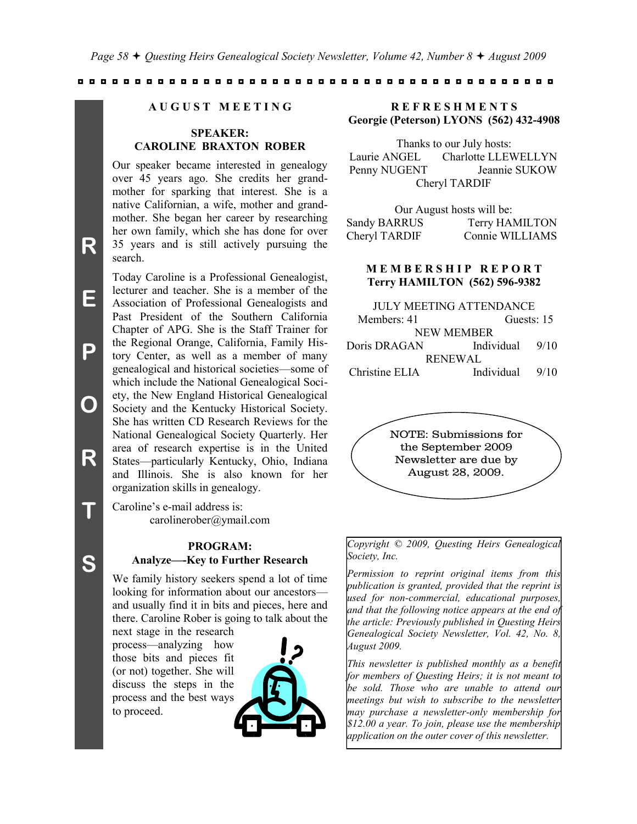#### **A U G U S T M E E T I N G**

#### **SPEAKER: CAROLINE BRAXTON ROBER**

Our speaker became interested in genealogy over 45 years ago. She credits her grandmother for sparking that interest. She is a native Californian, a wife, mother and grandmother. She began her career by researching her own family, which she has done for over 35 years and is still actively pursuing the search.

Today Caroline is a Professional Genealogist, lecturer and teacher. She is a member of the Association of Professional Genealogists and Past President of the Southern California Chapter of APG. She is the Staff Trainer for the Regional Orange, California, Family History Center, as well as a member of many genealogical and historical societies—some of which include the National Genealogical Society, the New England Historical Genealogical Society and the Kentucky Historical Society. She has written CD Research Reviews for the National Genealogical Society Quarterly. Her area of research expertise is in the United States—particularly Kentucky, Ohio, Indiana and Illinois. She is also known for her organization skills in genealogy.

Caroline's e-mail address is: carolinerober@ymail.com

#### **PROGRAM: Analyze—-Key to Further Research**

We family history seekers spend a lot of time looking for information about our ancestors and usually find it in bits and pieces, here and there. Caroline Rober is going to talk about the

next stage in the research process—analyzing how those bits and pieces fit (or not) together. She will discuss the steps in the process and the best ways to proceed.



#### **R E F R E S H M E N T S Georgie (Peterson) LYONS (562) 432-4908**

Thanks to our July hosts: Laurie ANGEL Charlotte LLEWELLYN Penny NUGENT Jeannie SUKOW Cheryl TARDIF

Our August hosts will be: Sandy BARRUS Terry HAMILTON Cheryl TARDIF Connie WILLIAMS

#### **M E M B E R S H I P R E P O R T Terry HAMILTON (562) 596-9382**

| <b>JULY MEETING ATTENDANCE</b> |                |      |  |
|--------------------------------|----------------|------|--|
| Members: 41                    | Guests: 15     |      |  |
| <b>NEW MEMBER</b>              |                |      |  |
| Doris DRAGAN                   | Individual     | 9/10 |  |
|                                | <b>RENEWAL</b> |      |  |
| Christine ELIA                 | Individual     | 9/10 |  |



*Copyright © 2009, Questing Heirs Genealogical Society, Inc.*

*Permission to reprint original items from this publication is granted, provided that the reprint is used for non-commercial, educational purposes, and that the following notice appears at the end of the article: Previously published in Questing Heirs Genealogical Society Newsletter, Vol. 42, No. 8, August 2009.*

*This newsletter is published monthly as a benefit for members of Questing Heirs; it is not meant to be sold. Those who are unable to attend our meetings but wish to subscribe to the newsletter may purchase a newsletter-only membership for \$12.00 a year. To join, please use the membership application on the outer cover of this newsletter.*

**R**

**E**

**P**

**O**

**R**

**T**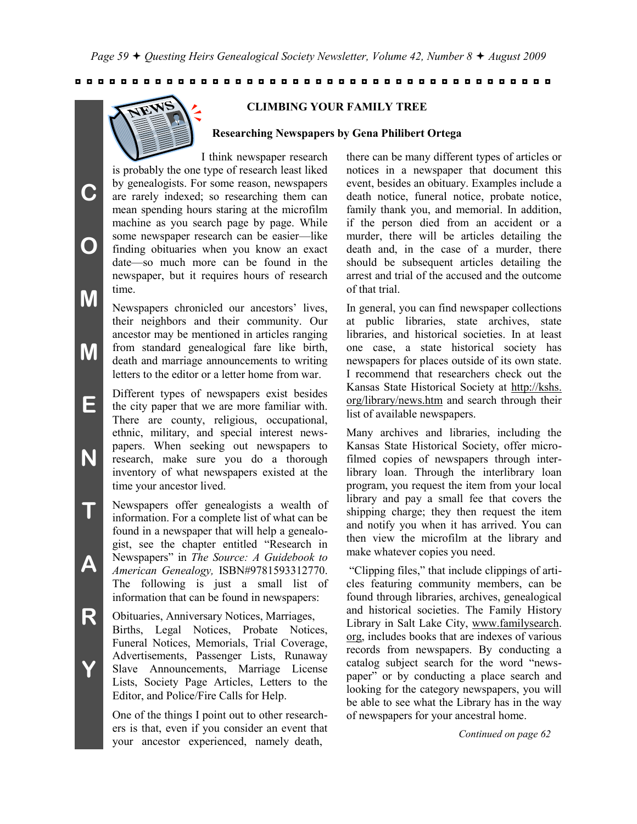

**C**

**O**

**M**

**M**

**CLIMBING YOUR FAMILY TREE**

#### **Researching Newspapers by Gena Philibert Ortega**

I think newspaper research is probably the one type of research least liked by genealogists. For some reason, newspapers are rarely indexed; so researching them can mean spending hours staring at the microfilm machine as you search page by page. While some newspaper research can be easier—like finding obituaries when you know an exact date—so much more can be found in the newspaper, but it requires hours of research time.

Newspapers chronicled our ancestors' lives, their neighbors and their community. Our ancestor may be mentioned in articles ranging from standard genealogical fare like birth, death and marriage announcements to writing letters to the editor or a letter home from war.

**E N** Different types of newspapers exist besides the city paper that we are more familiar with. There are county, religious, occupational, ethnic, military, and special interest newspapers. When seeking out newspapers to research, make sure you do a thorough inventory of what newspapers existed at the time your ancestor lived.

**T A** Newspapers offer genealogists a wealth of information. For a complete list of what can be found in a newspaper that will help a genealogist, see the chapter entitled "Research in Newspapers‖ in *The Source: A Guidebook to American Genealogy,* ISBN#9781593312770. The following is just a small list of information that can be found in newspapers:

**R Y** Obituaries, Anniversary Notices, Marriages, Births, Legal Notices, Probate Notices, Funeral Notices, Memorials, Trial Coverage, Advertisements, Passenger Lists, Runaway Slave Announcements, Marriage License Lists, Society Page Articles, Letters to the Editor, and Police/Fire Calls for Help.

> One of the things I point out to other researchers is that, even if you consider an event that your ancestor experienced, namely death,

there can be many different types of articles or notices in a newspaper that document this event, besides an obituary. Examples include a death notice, funeral notice, probate notice, family thank you, and memorial. In addition, if the person died from an accident or a murder, there will be articles detailing the death and, in the case of a murder, there should be subsequent articles detailing the arrest and trial of the accused and the outcome of that trial.

In general, you can find newspaper collections at public libraries, state archives, state libraries, and historical societies. In at least one case, a state historical society has newspapers for places outside of its own state. I recommend that researchers check out the Kansas State Historical Society at http://kshs. org/library/news.htm and search through their list of available newspapers.

Many archives and libraries, including the Kansas State Historical Society, offer microfilmed copies of newspapers through interlibrary loan. Through the interlibrary loan program, you request the item from your local library and pay a small fee that covers the shipping charge; they then request the item and notify you when it has arrived. You can then view the microfilm at the library and make whatever copies you need.

―Clipping files,‖ that include clippings of articles featuring community members, can be found through libraries, archives, genealogical and historical societies. The Family History Library in Salt Lake City, www.familysearch. org, includes books that are indexes of various records from newspapers. By conducting a catalog subject search for the word "newspaper" or by conducting a place search and looking for the category newspapers, you will be able to see what the Library has in the way of newspapers for your ancestral home.

*Continued on page 62*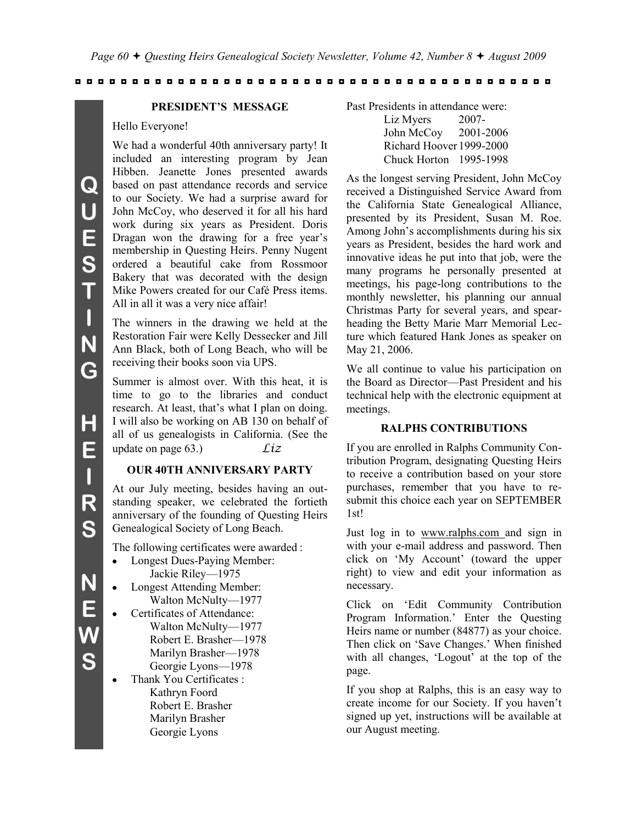#### **PRESIDENT'S MESSAGE**

#### Hello Everyone!

We had a wonderful 40th anniversary party! It included an interesting program by Jean Hibben. Jeanette Jones presented awards based on past attendance records and service to our Society. We had a surprise award for John McCoy, who deserved it for all his hard work during six years as President. Doris Dragan won the drawing for a free year's membership in Questing Heirs. Penny Nugent ordered a beautiful cake from Rossmoor Bakery that was decorated with the design Mike Powers created for our Café Press items. All in all it was a very nice affair!

The winners in the drawing we held at the Restoration Fair were Kelly Dessecker and Jill Ann Black, both of Long Beach, who will be receiving their books soon via UPS.

Summer is almost over. With this heat, it is time to go to the libraries and conduct research. At least, that's what I plan on doing. I will also be working on AB 130 on behalf of all of us genealogists in California. (See the update on page 63.) *Liz*

#### **OUR 40TH ANNIVERSARY PARTY**

At our July meeting, besides having an outstanding speaker, we celebrated the fortieth anniversary of the founding of Questing Heirs Genealogical Society of Long Beach.

The following certificates were awarded :

- Longest Dues-Paying Member:  $\bullet$ Jackie Riley—1975
- Longest Attending Member:  $\bullet$ Walton McNulty—1977
	- Certificates of Attendance: Walton McNulty—1977 Robert E. Brasher—1978 Marilyn Brasher—1978 Georgie Lyons—1978
- Thank You Certificates :  $\bullet$ Kathryn Foord Robert E. Brasher Marilyn Brasher Georgie Lyons

Past Presidents in attendance were: Liz Myers 2007-

John McCoy 2001-2006 Richard Hoover 1999-2000 Chuck Horton 1995-1998

As the longest serving President, John McCoy received a Distinguished Service Award from the California State Genealogical Alliance, presented by its President, Susan M. Roe. Among John's accomplishments during his six years as President, besides the hard work and innovative ideas he put into that job, were the many programs he personally presented at meetings, his page-long contributions to the monthly newsletter, his planning our annual Christmas Party for several years, and spearheading the Betty Marie Marr Memorial Lecture which featured Hank Jones as speaker on May 21, 2006.

We all continue to value his participation on the Board as Director—Past President and his technical help with the electronic equipment at meetings.

#### **RALPHS CONTRIBUTIONS**

If you are enrolled in Ralphs Community Contribution Program, designating Questing Heirs to receive a contribution based on your store purchases, remember that you have to resubmit this choice each year on SEPTEMBER 1st!

Just log in to www.ralphs.com and sign in with your e-mail address and password. Then click on ‗My Account' (toward the upper right) to view and edit your information as necessary.

Click on 'Edit Community Contribution Program Information.' Enter the Questing Heirs name or number (84877) as your choice. Then click on 'Save Changes.' When finished with all changes, 'Logout' at the top of the page.

If you shop at Ralphs, this is an easy way to create income for our Society. If you haven't signed up yet, instructions will be available at our August meeting.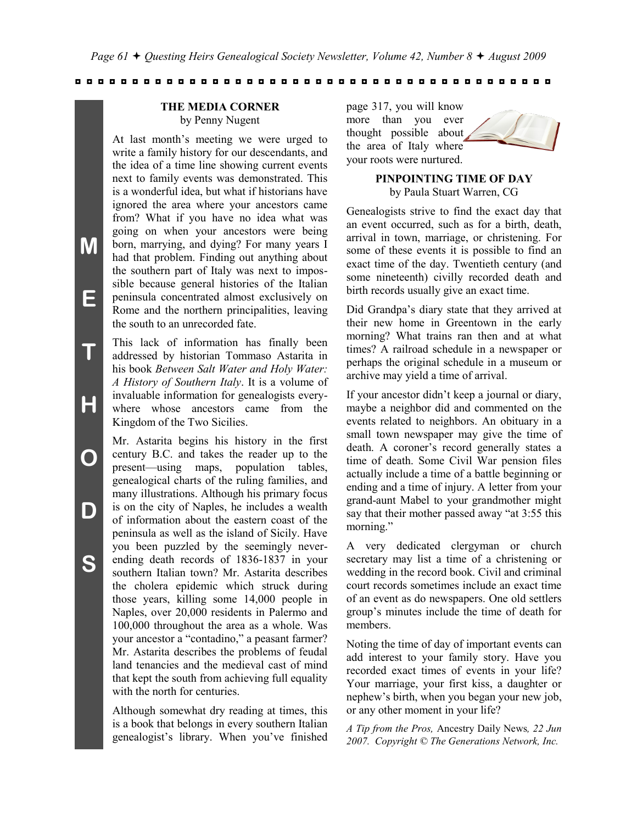# **THE MEDIA CORNER**

by Penny Nugent

At last month's meeting we were urged to write a family history for our descendants, and the idea of a time line showing current events next to family events was demonstrated. This is a wonderful idea, but what if historians have ignored the area where your ancestors came from? What if you have no idea what was going on when your ancestors were being born, marrying, and dying? For many years I had that problem. Finding out anything about the southern part of Italy was next to impossible because general histories of the Italian peninsula concentrated almost exclusively on Rome and the northern principalities, leaving the south to an unrecorded fate.

This lack of information has finally been addressed by historian Tommaso Astarita in his book *Between Salt Water and Holy Water: A History of Southern Italy*. It is a volume of invaluable information for genealogists everywhere whose ancestors came from the Kingdom of the Two Sicilies.

Mr. Astarita begins his history in the first century B.C. and takes the reader up to the present—using maps, population tables, genealogical charts of the ruling families, and many illustrations. Although his primary focus is on the city of Naples, he includes a wealth of information about the eastern coast of the peninsula as well as the island of Sicily. Have you been puzzled by the seemingly neverending death records of 1836-1837 in your southern Italian town? Mr. Astarita describes the cholera epidemic which struck during those years, killing some 14,000 people in Naples, over 20,000 residents in Palermo and 100,000 throughout the area as a whole. Was your ancestor a "contadino," a peasant farmer? Mr. Astarita describes the problems of feudal land tenancies and the medieval cast of mind that kept the south from achieving full equality with the north for centuries.

Although somewhat dry reading at times, this is a book that belongs in every southern Italian genealogist's library. When you've finished

page 317, you will know more than you ever thought possible about the area of Italy where your roots were nurtured.

#### **PINPOINTING TIME OF DAY** by Paula Stuart Warren, CG

Genealogists strive to find the exact day that an event occurred, such as for a birth, death, arrival in town, marriage, or christening. For some of these events it is possible to find an exact time of the day. Twentieth century (and some nineteenth) civilly recorded death and birth records usually give an exact time.

Did Grandpa's diary state that they arrived at their new home in Greentown in the early morning? What trains ran then and at what times? A railroad schedule in a newspaper or perhaps the original schedule in a museum or archive may yield a time of arrival.

If your ancestor didn't keep a journal or diary, maybe a neighbor did and commented on the events related to neighbors. An obituary in a small town newspaper may give the time of death. A coroner's record generally states a time of death. Some Civil War pension files actually include a time of a battle beginning or ending and a time of injury. A letter from your grand-aunt Mabel to your grandmother might say that their mother passed away "at 3:55 this morning."

A very dedicated clergyman or church secretary may list a time of a christening or wedding in the record book. Civil and criminal court records sometimes include an exact time of an event as do newspapers. One old settlers group's minutes include the time of death for members.

Noting the time of day of important events can add interest to your family story. Have you recorded exact times of events in your life? Your marriage, your first kiss, a daughter or nephew's birth, when you began your new job, or any other moment in your life?

*A Tip from the Pros,* Ancestry Daily News*, 22 Jun 2007. Copyright © The Generations Network, Inc.*

**T**

**H**

**O**

**D**

**S**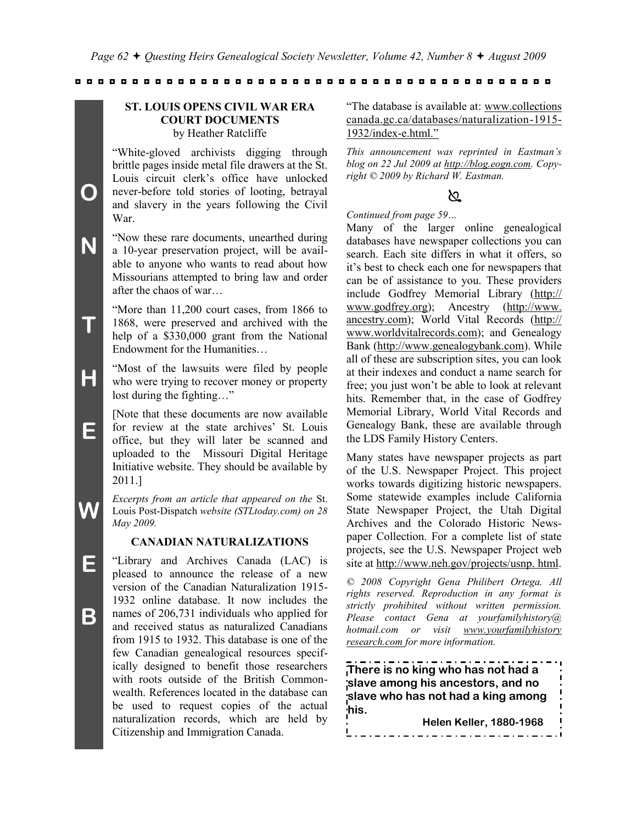#### **ST. LOUIS OPENS CIVIL WAR ERA COURT DOCUMENTS** by Heather Ratcliffe

―White-gloved archivists digging through brittle pages inside metal file drawers at the St. Louis circuit clerk's office have unlocked never-before told stories of looting, betrayal and slavery in the years following the Civil War.

- **N** ―Now these rare documents, unearthed during a 10-year preservation project, will be available to anyone who wants to read about how Missourians attempted to bring law and order after the chaos of war…
- **T** "More than 11,200 court cases, from 1866 to 1868, were preserved and archived with the help of a \$330,000 grant from the National Endowment for the Humanities…
- **H** ―Most of the lawsuits were filed by people who were trying to recover money or property lost during the fighting..."
	- [Note that these documents are now available for review at the state archives' St. Louis office, but they will later be scanned and uploaded to the Missouri Digital Heritage Initiative website. They should be available by 2011.]
	- *Excerpts from an article that appeared on the* St. Louis Post-Dispatch *website (STLtoday.com) on 28 May 2009.*

#### **CANADIAN NATURALIZATIONS**

―Library and Archives Canada (LAC) is pleased to announce the release of a new version of the Canadian Naturalization 1915- 1932 online database. It now includes the names of 206,731 individuals who applied for and received status as naturalized Canadians from 1915 to 1932. This database is one of the few Canadian genealogical resources specifically designed to benefit those researchers with roots outside of the British Commonwealth. References located in the database can be used to request copies of the actual naturalization records, which are held by Citizenship and Immigration Canada.

―The database is available at: www.collections canada.gc.ca/databases/naturalization-1915- 1932/index-e.html."

*This announcement was reprinted in Eastman's blog on 22 Jul 2009 at http://blog.eogn.com. Copyright © 2009 by Richard W. Eastman.*

## প্ৰ

#### *Continued from page 59…*

Many of the larger online genealogical databases have newspaper collections you can search. Each site differs in what it offers, so it's best to check each one for newspapers that can be of assistance to you. These providers include Godfrey Memorial Library (http:// www.godfrey.org); Ancestry (http://www. ancestry.com); World Vital Records (http:// www.worldvitalrecords.com); and Genealogy Bank (http://www.genealogybank.com). While all of these are subscription sites, you can look at their indexes and conduct a name search for free; you just won't be able to look at relevant hits. Remember that, in the case of Godfrey Memorial Library, World Vital Records and Genealogy Bank, these are available through the LDS Family History Centers.

Many states have newspaper projects as part of the U.S. Newspaper Project. This project works towards digitizing historic newspapers. Some statewide examples include California State Newspaper Project, the Utah Digital Archives and the Colorado Historic Newspaper Collection. For a complete list of state projects, see the U.S. Newspaper Project web site at http://www.neh.gov/projects/usnp. html.

*© 2008 Copyright Gena Philibert Ortega. All rights reserved. Reproduction in any format is strictly prohibited without written permission. Please contact Gena at yourfamilyhistory@ hotmail.com or visit www.yourfamilyhistory research.com for more information.*

**There is no king who has not had a slave among his ancestors, and no slave who has not had a king among his. Helen Keller, 1880-1968**

**E**

**B**

**E**

**O**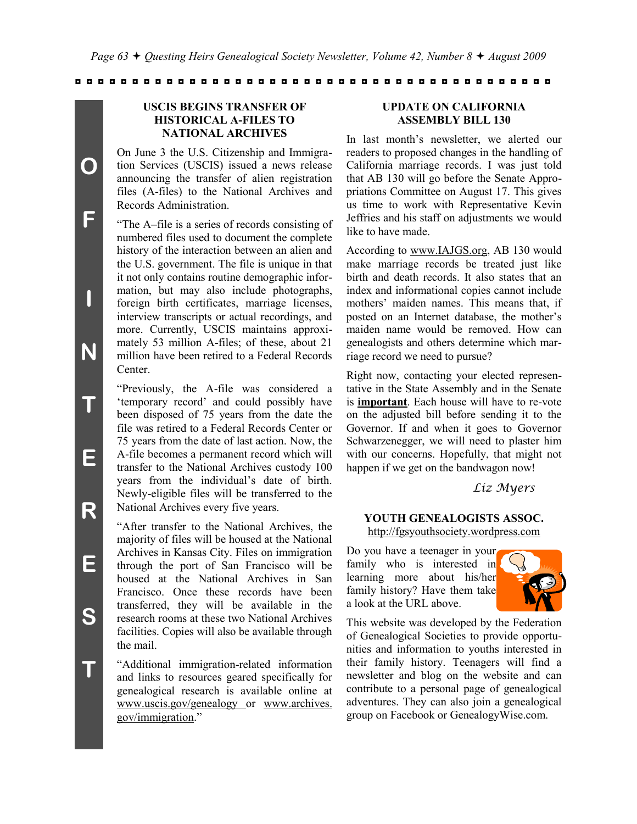#### **USCIS BEGINS TRANSFER OF HISTORICAL A-FILES TO NATIONAL ARCHIVES**

On June 3 the U.S. Citizenship and Immigration Services (USCIS) issued a news release announcing the transfer of alien registration files (A-files) to the National Archives and Records Administration.

―The A–file is a series of records consisting of numbered files used to document the complete history of the interaction between an alien and the U.S. government. The file is unique in that it not only contains routine demographic information, but may also include photographs, foreign birth certificates, marriage licenses, interview transcripts or actual recordings, and more. Currently, USCIS maintains approximately 53 million A-files; of these, about 21 million have been retired to a Federal Records Center.

―Previously, the A-file was considered a ‗temporary record' and could possibly have been disposed of 75 years from the date the file was retired to a Federal Records Center or 75 years from the date of last action. Now, the A-file becomes a permanent record which will transfer to the National Archives custody 100 years from the individual's date of birth. Newly-eligible files will be transferred to the National Archives every five years.

―After transfer to the National Archives, the majority of files will be housed at the National Archives in Kansas City. Files on immigration through the port of San Francisco will be housed at the National Archives in San Francisco. Once these records have been transferred, they will be available in the research rooms at these two National Archives facilities. Copies will also be available through the mail.

―Additional immigration-related information and links to resources geared specifically for genealogical research is available online at www.uscis.gov/genealogy or www.archives. gov/immigration."

#### **UPDATE ON CALIFORNIA ASSEMBLY BILL 130**

In last month's newsletter, we alerted our readers to proposed changes in the handling of California marriage records. I was just told that AB 130 will go before the Senate Appropriations Committee on August 17. This gives us time to work with Representative Kevin Jeffries and his staff on adjustments we would like to have made.

According to www.IAJGS.org, AB 130 would make marriage records be treated just like birth and death records. It also states that an index and informational copies cannot include mothers' maiden names. This means that, if posted on an Internet database, the mother's maiden name would be removed. How can genealogists and others determine which marriage record we need to pursue?

Right now, contacting your elected representative in the State Assembly and in the Senate is **important**. Each house will have to re-vote on the adjusted bill before sending it to the Governor. If and when it goes to Governor Schwarzenegger, we will need to plaster him with our concerns. Hopefully, that might not happen if we get on the bandwagon now!

*Liz Myers*

#### **YOUTH GENEALOGISTS ASSOC.**

http://fgsyouthsociety.wordpress.com

Do you have a teenager in your family who is interested in learning more about his/her family history? Have them take a look at the URL above.



This website was developed by the Federation of Genealogical Societies to provide opportunities and information to youths interested in their family history. Teenagers will find a newsletter and blog on the website and can contribute to a personal page of genealogical adventures. They can also join a genealogical group on Facebook or GenealogyWise.com.